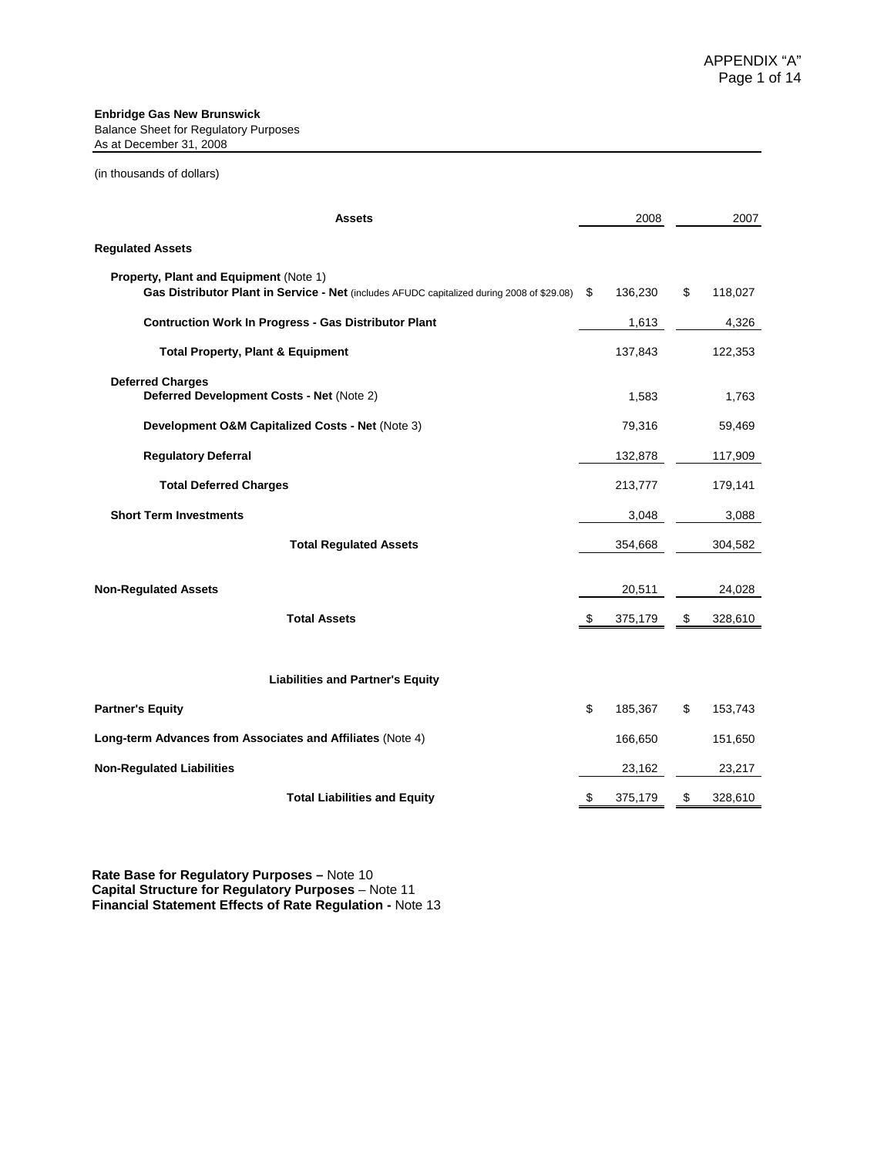#### **Enbridge Gas New Brunswick**

Balance Sheet for Regulatory Purposes As at December 31, 2008

#### (in thousands of dollars)

| <b>Assets</b>                                                                                                                               |     | 2008    | 2007          |
|---------------------------------------------------------------------------------------------------------------------------------------------|-----|---------|---------------|
| <b>Regulated Assets</b>                                                                                                                     |     |         |               |
| <b>Property, Plant and Equipment (Note 1)</b><br>Gas Distributor Plant in Service - Net (includes AFUDC capitalized during 2008 of \$29.08) | \$. | 136,230 | \$<br>118,027 |
| <b>Contruction Work In Progress - Gas Distributor Plant</b>                                                                                 |     | 1,613   | 4,326         |
| <b>Total Property, Plant &amp; Equipment</b>                                                                                                |     | 137,843 | 122,353       |
| <b>Deferred Charges</b><br>Deferred Development Costs - Net (Note 2)                                                                        |     | 1,583   | 1,763         |
| Development O&M Capitalized Costs - Net (Note 3)                                                                                            |     | 79,316  | 59,469        |
| <b>Regulatory Deferral</b>                                                                                                                  |     | 132,878 | 117,909       |
| <b>Total Deferred Charges</b>                                                                                                               |     | 213,777 | 179,141       |
| <b>Short Term Investments</b>                                                                                                               |     | 3,048   | 3,088         |
| <b>Total Regulated Assets</b>                                                                                                               |     | 354,668 | 304,582       |
| <b>Non-Regulated Assets</b>                                                                                                                 |     | 20,511  | 24,028        |
| <b>Total Assets</b>                                                                                                                         | -\$ | 375,179 | \$<br>328,610 |
| <b>Liabilities and Partner's Equity</b>                                                                                                     |     |         |               |
| <b>Partner's Equity</b>                                                                                                                     | \$  | 185,367 | \$<br>153,743 |
| Long-term Advances from Associates and Affiliates (Note 4)                                                                                  |     | 166,650 | 151,650       |
| <b>Non-Regulated Liabilities</b>                                                                                                            |     | 23,162  | 23,217        |
| <b>Total Liabilities and Equity</b>                                                                                                         | \$  | 375,179 | \$<br>328,610 |

**Rate Base for Regulatory Purposes –** Note 10 **Capital Structure for Regulatory Purposes** – Note 11 **Financial Statement Effects of Rate Regulation -** Note 13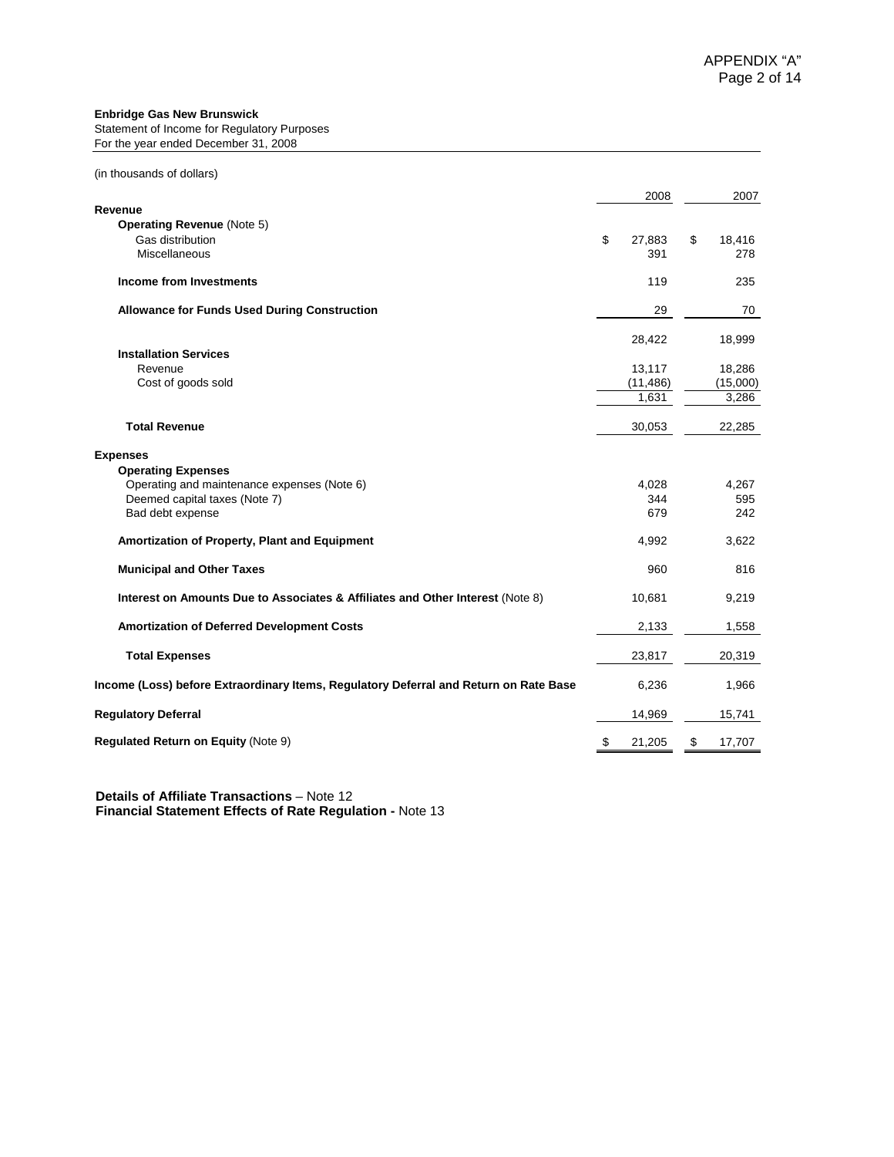#### **Enbridge Gas New Brunswick**

Statement of Income for Regulatory Purposes For the year ended December 31, 2008

|                                                                                       | 2008                | 2007                |
|---------------------------------------------------------------------------------------|---------------------|---------------------|
| Revenue                                                                               |                     |                     |
| <b>Operating Revenue (Note 5)</b>                                                     |                     |                     |
| Gas distribution<br>Miscellaneous                                                     | \$<br>27,883<br>391 | \$<br>18,416<br>278 |
|                                                                                       |                     |                     |
| <b>Income from Investments</b>                                                        | 119                 | 235                 |
| <b>Allowance for Funds Used During Construction</b>                                   | 29                  | 70                  |
|                                                                                       | 28,422              | 18,999              |
| <b>Installation Services</b>                                                          |                     |                     |
| Revenue                                                                               | 13,117              | 18,286              |
| Cost of goods sold                                                                    | (11, 486)           | (15,000)            |
|                                                                                       | 1.631               | 3,286               |
|                                                                                       |                     |                     |
| <b>Total Revenue</b>                                                                  | 30,053              | 22,285              |
| <b>Expenses</b>                                                                       |                     |                     |
| <b>Operating Expenses</b>                                                             |                     |                     |
| Operating and maintenance expenses (Note 6)                                           | 4,028               | 4,267               |
| Deemed capital taxes (Note 7)                                                         | 344                 | 595                 |
| Bad debt expense                                                                      | 679                 | 242                 |
| Amortization of Property, Plant and Equipment                                         | 4,992               | 3,622               |
| <b>Municipal and Other Taxes</b>                                                      | 960                 | 816                 |
| Interest on Amounts Due to Associates & Affiliates and Other Interest (Note 8)        | 10,681              | 9,219               |
| <b>Amortization of Deferred Development Costs</b>                                     | 2,133               | 1,558               |
| <b>Total Expenses</b>                                                                 | 23,817              | 20,319              |
| Income (Loss) before Extraordinary Items, Regulatory Deferral and Return on Rate Base | 6,236               | 1,966               |
| <b>Regulatory Deferral</b>                                                            | 14,969              | 15,741              |
| <b>Regulated Return on Equity (Note 9)</b>                                            | \$<br>21,205        | \$<br>17,707        |

 **Details of Affiliate Transactions** – Note 12  **Financial Statement Effects of Rate Regulation -** Note 13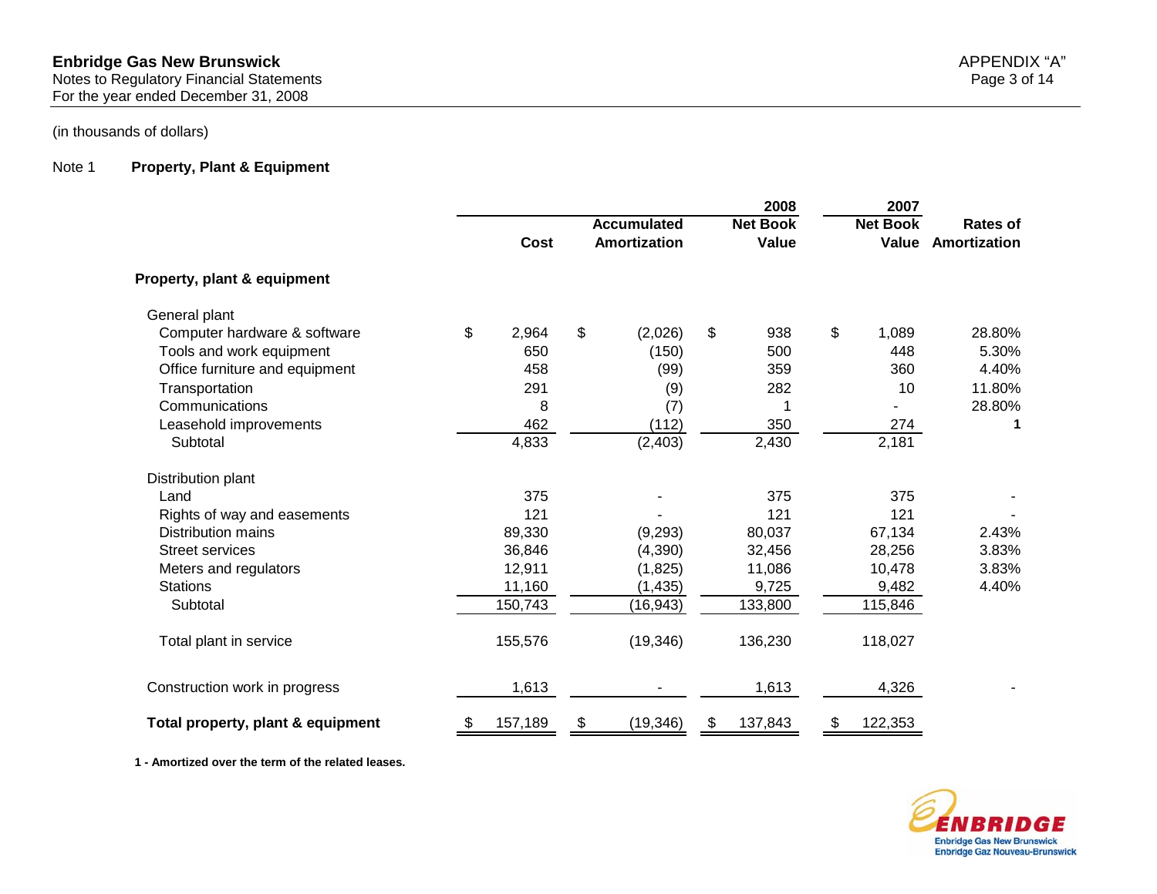For the year ended December 31, 2008

## (in thousands of dollars)

#### Note 1 **Property, Plant & Equipment**

|                                   |    |         |                |                                           |                         | 2008    | 2007                     |                                 |  |
|-----------------------------------|----|---------|----------------|-------------------------------------------|-------------------------|---------|--------------------------|---------------------------------|--|
|                                   |    | Cost    |                | <b>Accumulated</b><br><b>Amortization</b> |                         |         | <b>Net Book</b><br>Value | <b>Rates of</b><br>Amortization |  |
| Property, plant & equipment       |    |         |                |                                           |                         |         |                          |                                 |  |
| General plant                     |    |         |                |                                           |                         |         |                          |                                 |  |
| Computer hardware & software      | \$ | 2,964   | $\mathfrak{L}$ | (2,026)                                   | $\sqrt[6]{\frac{1}{2}}$ | 938     | \$<br>1,089              | 28.80%                          |  |
| Tools and work equipment          |    | 650     |                | (150)                                     |                         | 500     | 448                      | 5.30%                           |  |
| Office furniture and equipment    |    | 458     |                | (99)                                      |                         | 359     | 360                      | 4.40%                           |  |
| Transportation                    |    | 291     |                | (9)                                       |                         | 282     | 10                       | 11.80%                          |  |
| Communications                    |    | 8       |                | (7)                                       |                         |         |                          | 28.80%                          |  |
| Leasehold improvements            |    | 462     |                | (112)                                     |                         | 350     | 274                      | 1                               |  |
| Subtotal                          |    | 4,833   |                | (2, 403)                                  |                         | 2,430   | 2,181                    |                                 |  |
| Distribution plant                |    |         |                |                                           |                         |         |                          |                                 |  |
| Land                              |    | 375     |                |                                           |                         | 375     | 375                      |                                 |  |
| Rights of way and easements       |    | 121     |                |                                           |                         | 121     | 121                      |                                 |  |
| <b>Distribution mains</b>         |    | 89,330  |                | (9, 293)                                  |                         | 80,037  | 67,134                   | 2.43%                           |  |
| <b>Street services</b>            |    | 36,846  |                | (4,390)                                   |                         | 32,456  | 28,256                   | 3.83%                           |  |
| Meters and regulators             |    | 12,911  |                | (1,825)                                   |                         | 11,086  | 10,478                   | 3.83%                           |  |
| <b>Stations</b>                   |    | 11,160  |                | (1, 435)                                  |                         | 9,725   | 9,482                    | 4.40%                           |  |
| Subtotal                          |    | 150,743 |                | (16, 943)                                 |                         | 133,800 | 115,846                  |                                 |  |
| Total plant in service            |    | 155,576 |                | (19, 346)                                 |                         | 136,230 | 118,027                  |                                 |  |
| Construction work in progress     |    | 1,613   |                |                                           |                         | 1,613   | 4,326                    |                                 |  |
| Total property, plant & equipment | \$ | 157,189 | \$             | (19, 346)                                 | \$                      | 137,843 | \$<br>122,353            |                                 |  |

**1 - Amortized over the term of the related leases.**



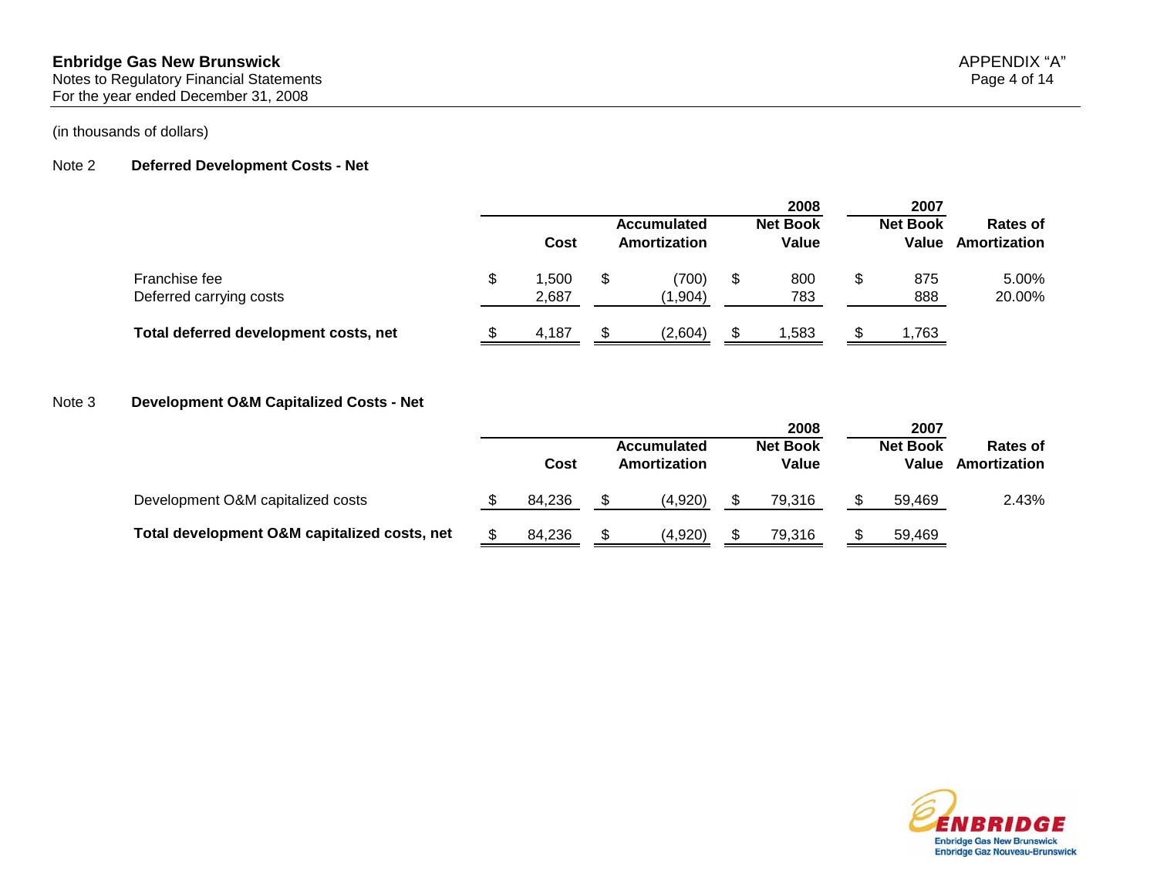#### Note 2 **Deferred Development Costs - Net**

|                                          |               |                                                   |                                    | 2008                     | 2007 |                          |                                 |  |
|------------------------------------------|---------------|---------------------------------------------------|------------------------------------|--------------------------|------|--------------------------|---------------------------------|--|
|                                          | Cost          |                                                   | <b>Accumulated</b><br>Amortization | <b>Net Book</b><br>Value |      | <b>Net Book</b><br>Value | <b>Rates of</b><br>Amortization |  |
| Franchise fee<br>Deferred carrying costs | ,500<br>2,687 | (700)<br>800<br>\$<br>\$<br>\$.<br>783<br>(1,904) | 875<br>888                         | 5.00%<br>20.00%          |      |                          |                                 |  |
| Total deferred development costs, net    | 4,187         |                                                   | (2,604)                            | 1,583                    |      | 1,763                    |                                 |  |

#### Note 3 **Development O&M Capitalized Costs - Net**

|                                              |        |                                    |         |                          | 2008   |                          | 2007   |                          |  |
|----------------------------------------------|--------|------------------------------------|---------|--------------------------|--------|--------------------------|--------|--------------------------|--|
|                                              | Cost   | <b>Accumulated</b><br>Amortization |         | <b>Net Book</b><br>Value |        | <b>Net Book</b><br>Value |        | Rates of<br>Amortization |  |
| Development O&M capitalized costs            | 84.236 |                                    | (4,920) |                          | 79.316 |                          | 59.469 | 2.43%                    |  |
| Total development O&M capitalized costs, net | 84,236 |                                    | (4,920) |                          | 79,316 |                          | 59,469 |                          |  |

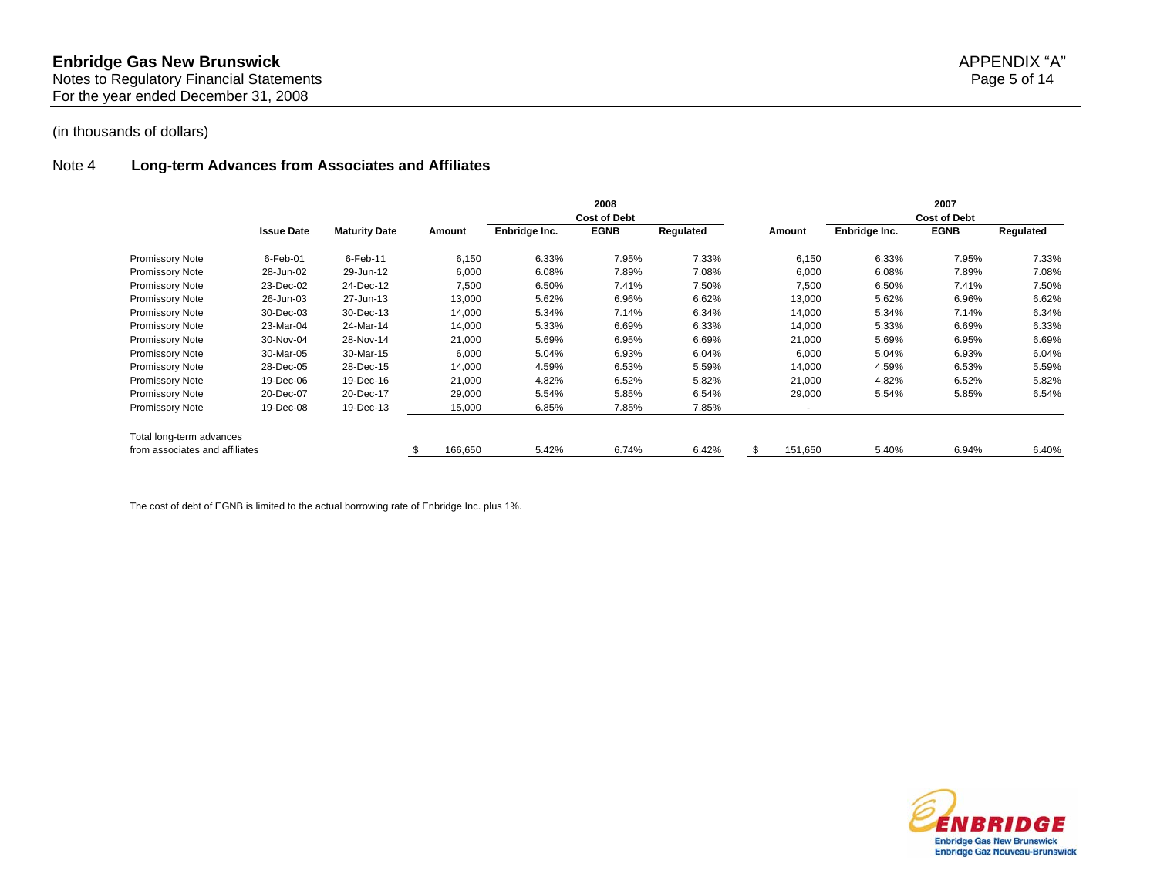#### Note 4 **Long-term Advances from Associates and Affiliates**

|                                |                   |                      |         | 2008<br><b>Cost of Debt</b> |             |           |                          |               | 2007<br><b>Cost of Debt</b> |           |
|--------------------------------|-------------------|----------------------|---------|-----------------------------|-------------|-----------|--------------------------|---------------|-----------------------------|-----------|
|                                | <b>Issue Date</b> | <b>Maturity Date</b> | Amount  | Enbridge Inc.               | <b>EGNB</b> | Regulated | Amount                   | Enbridge Inc. | <b>EGNB</b>                 | Regulated |
| <b>Promissory Note</b>         | $6$ -Feb-01       | $6$ -Feb-11          | 6,150   | 6.33%                       | 7.95%       | 7.33%     | 6,150                    | 6.33%         | 7.95%                       | 7.33%     |
| <b>Promissory Note</b>         | 28-Jun-02         | 29-Jun-12            | 6,000   | 6.08%                       | 7.89%       | 7.08%     | 6,000                    | 6.08%         | 7.89%                       | 7.08%     |
| <b>Promissory Note</b>         | 23-Dec-02         | 24-Dec-12            | 7,500   | 6.50%                       | 7.41%       | 7.50%     | 7,500                    | 6.50%         | 7.41%                       | 7.50%     |
| <b>Promissory Note</b>         | 26-Jun-03         | 27-Jun-13            | 13,000  | 5.62%                       | 6.96%       | 6.62%     | 13,000                   | 5.62%         | 6.96%                       | 6.62%     |
| <b>Promissory Note</b>         | 30-Dec-03         | 30-Dec-13            | 14,000  | 5.34%                       | 7.14%       | 6.34%     | 14,000                   | 5.34%         | 7.14%                       | 6.34%     |
| <b>Promissory Note</b>         | 23-Mar-04         | 24-Mar-14            | 14,000  | 5.33%                       | 6.69%       | 6.33%     | 14,000                   | 5.33%         | 6.69%                       | 6.33%     |
| <b>Promissory Note</b>         | 30-Nov-04         | 28-Nov-14            | 21,000  | 5.69%                       | 6.95%       | 6.69%     | 21,000                   | 5.69%         | 6.95%                       | 6.69%     |
| <b>Promissory Note</b>         | 30-Mar-05         | 30-Mar-15            | 6,000   | 5.04%                       | 6.93%       | 6.04%     | 6,000                    | 5.04%         | 6.93%                       | 6.04%     |
| <b>Promissory Note</b>         | 28-Dec-05         | 28-Dec-15            | 14,000  | 4.59%                       | 6.53%       | 5.59%     | 14,000                   | 4.59%         | 6.53%                       | 5.59%     |
| <b>Promissory Note</b>         | 19-Dec-06         | 19-Dec-16            | 21,000  | 4.82%                       | 6.52%       | 5.82%     | 21,000                   | 4.82%         | 6.52%                       | 5.82%     |
| <b>Promissory Note</b>         | 20-Dec-07         | 20-Dec-17            | 29,000  | 5.54%                       | 5.85%       | 6.54%     | 29,000                   | 5.54%         | 5.85%                       | 6.54%     |
| <b>Promissory Note</b>         | 19-Dec-08         | 19-Dec-13            | 15,000  | 6.85%                       | 7.85%       | 7.85%     | $\overline{\phantom{a}}$ |               |                             |           |
| Total long-term advances       |                   |                      |         |                             |             |           |                          |               |                             |           |
| from associates and affiliates |                   |                      | 166,650 | 5.42%                       | 6.74%       | 6.42%     | 151,650                  | 5.40%         | 6.94%                       | 6.40%     |

The cost of debt of EGNB is limited to the actual borrowing rate of Enbridge Inc. plus 1%.

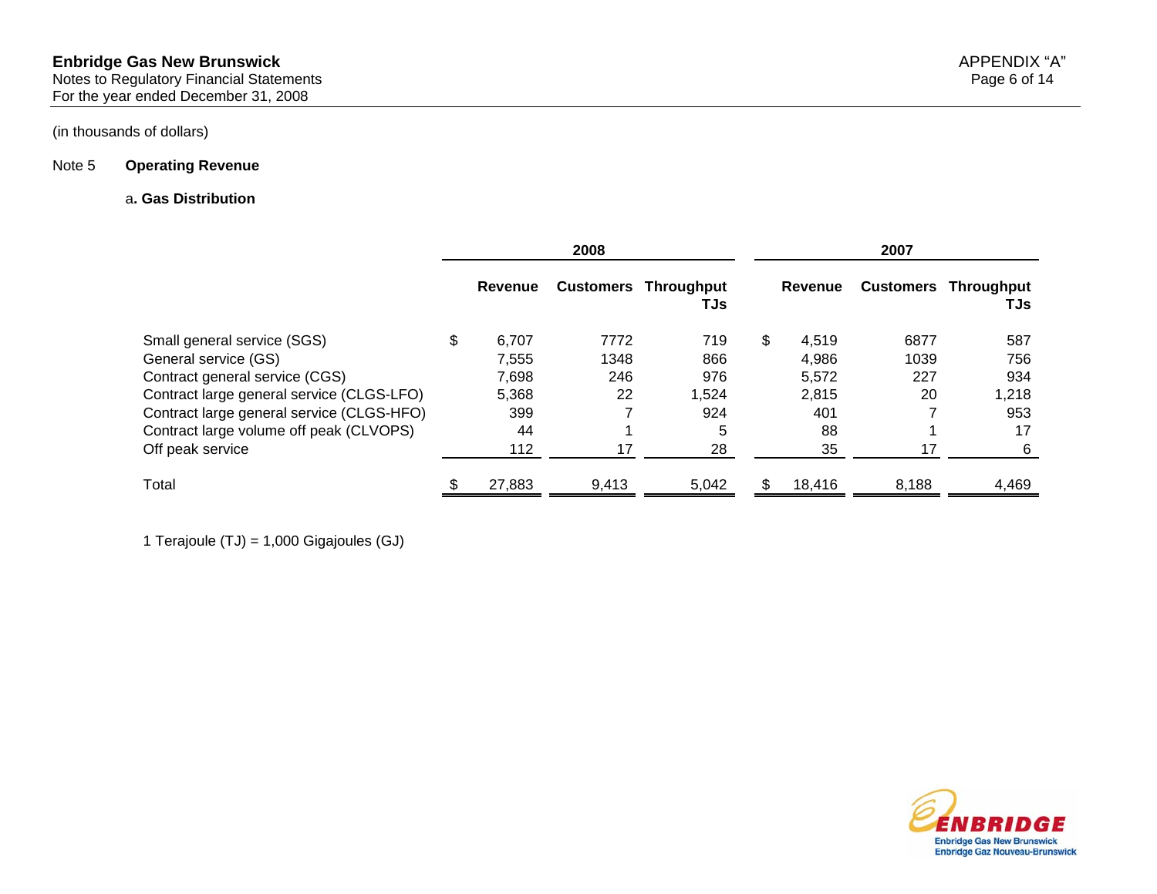#### Note 5 **Operating Revenue**

#### a**. Gas Distribution**

|                                           | 2008        |       |                                    |    | 2007    |       |                                    |  |  |
|-------------------------------------------|-------------|-------|------------------------------------|----|---------|-------|------------------------------------|--|--|
|                                           | Revenue     |       | <b>Customers Throughput</b><br>TJs |    | Revenue |       | <b>Customers Throughput</b><br>TJs |  |  |
| Small general service (SGS)               | \$<br>6.707 | 7772  | 719                                | \$ | 4.519   | 6877  | 587                                |  |  |
| General service (GS)                      | 7.555       | 1348  | 866                                |    | 4,986   | 1039  | 756                                |  |  |
| Contract general service (CGS)            | 7,698       | 246   | 976                                |    | 5,572   | 227   | 934                                |  |  |
| Contract large general service (CLGS-LFO) | 5,368       | 22    | 1,524                              |    | 2,815   | 20    | 1,218                              |  |  |
| Contract large general service (CLGS-HFO) | 399         |       | 924                                |    | 401     |       | 953                                |  |  |
| Contract large volume off peak (CLVOPS)   | 44          |       | 5                                  |    | 88      |       | 17                                 |  |  |
| Off peak service                          | 112         | 17    | 28                                 |    | 35      | 17    | 6                                  |  |  |
| Total                                     | 27,883      | 9,413 | 5,042                              |    | 18.416  | 8,188 | 4,469                              |  |  |

1 Terajoule (TJ) = 1,000 Gigajoules (GJ)

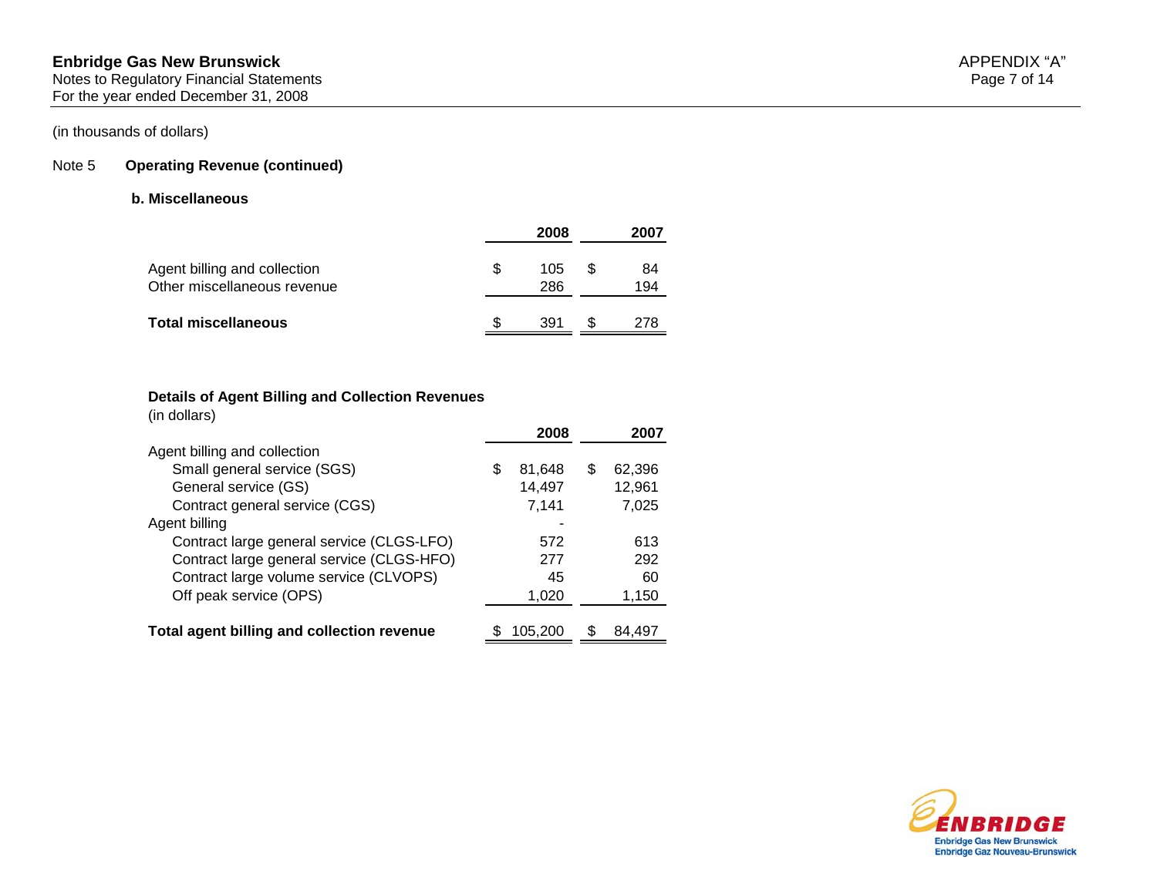#### Note 5 **Operating Revenue (continued)**

#### **b. Miscellaneous**

|                                                             |     | 2008       |   | 2007      |
|-------------------------------------------------------------|-----|------------|---|-----------|
| Agent billing and collection<br>Other miscellaneous revenue | \$. | 105<br>286 | S | 84<br>194 |
| <b>Total miscellaneous</b>                                  |     | 391        |   | 278       |

#### **Details of Agent Billing and Collection Revenues**

(in dollars)

|                                            |   | 2008    |     | 2007   |
|--------------------------------------------|---|---------|-----|--------|
| Agent billing and collection               |   |         |     |        |
| Small general service (SGS)                | S | 81,648  | S   | 62,396 |
| General service (GS)                       |   | 14,497  |     | 12,961 |
| Contract general service (CGS)             |   | 7,141   |     | 7,025  |
| Agent billing                              |   |         |     |        |
| Contract large general service (CLGS-LFO)  |   | 572     |     | 613    |
| Contract large general service (CLGS-HFO)  |   | 277     |     | 292    |
| Contract large volume service (CLVOPS)     |   | 45      |     | 60     |
| Off peak service (OPS)                     |   | 1,020   |     | 1,150  |
|                                            |   |         |     |        |
| Total agent billing and collection revenue |   | 105,200 | SS. | 84.497 |

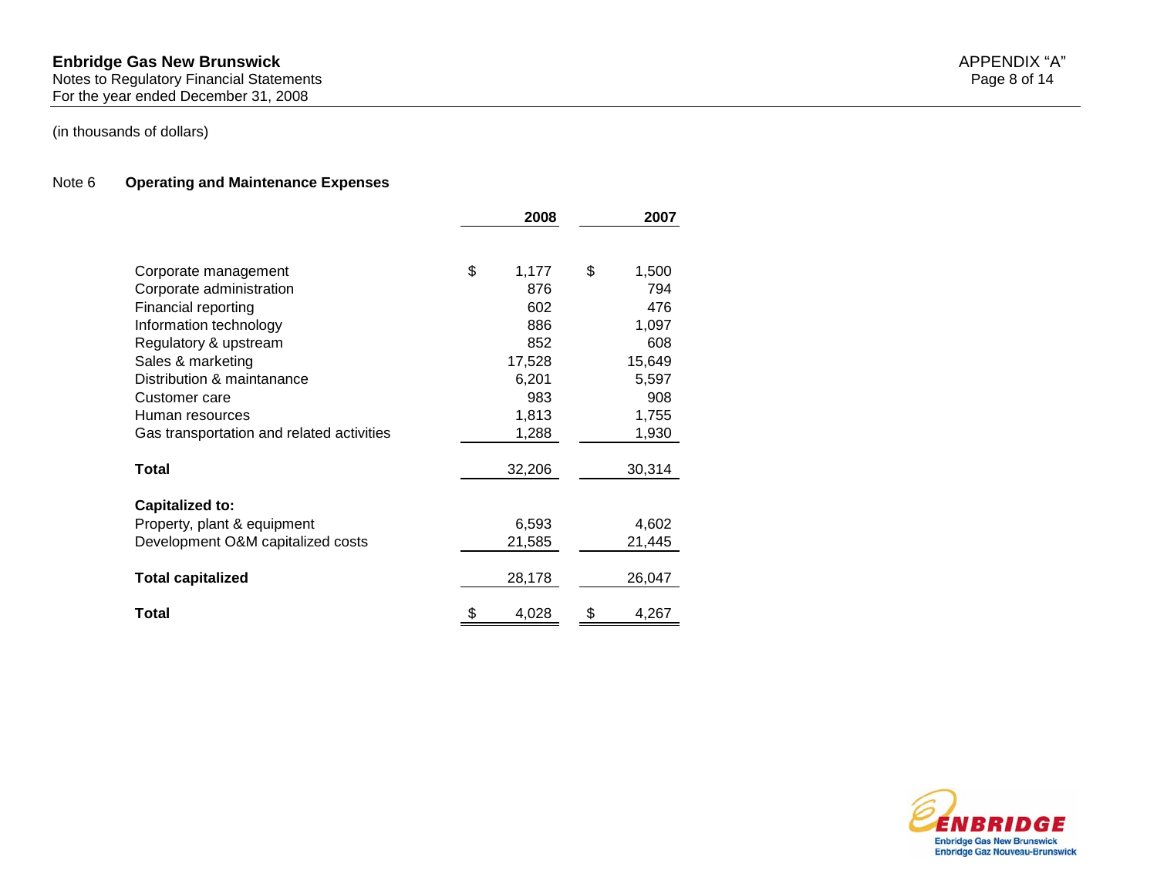#### **Enbridge Gas New Brunswick** APPENDIX "A" Notes to Regulatory Financial Statements Page 8 of 14 For the year ended December 31, 2008

#### Note 6 **Operating and Maintenance Expenses**

|                                           | 2008        | 2007        |
|-------------------------------------------|-------------|-------------|
|                                           |             |             |
| Corporate management                      | \$<br>1,177 | \$<br>1,500 |
| Corporate administration                  | 876         | 794         |
| Financial reporting                       | 602         | 476         |
| Information technology                    | 886         | 1,097       |
| Regulatory & upstream                     | 852         | 608         |
| Sales & marketing                         | 17,528      | 15,649      |
| Distribution & maintanance                | 6,201       | 5,597       |
| Customer care                             | 983         | 908         |
| Human resources                           | 1,813       | 1,755       |
| Gas transportation and related activities | 1,288       | 1,930       |
| Total                                     |             |             |
|                                           | 32,206      | 30,314      |
| <b>Capitalized to:</b>                    |             |             |
| Property, plant & equipment               | 6,593       | 4,602       |
| Development O&M capitalized costs         | 21,585      | 21,445      |
|                                           |             |             |
| <b>Total capitalized</b>                  | 28,178      | 26,047      |
| Total                                     | \$<br>4,028 | \$<br>4,267 |

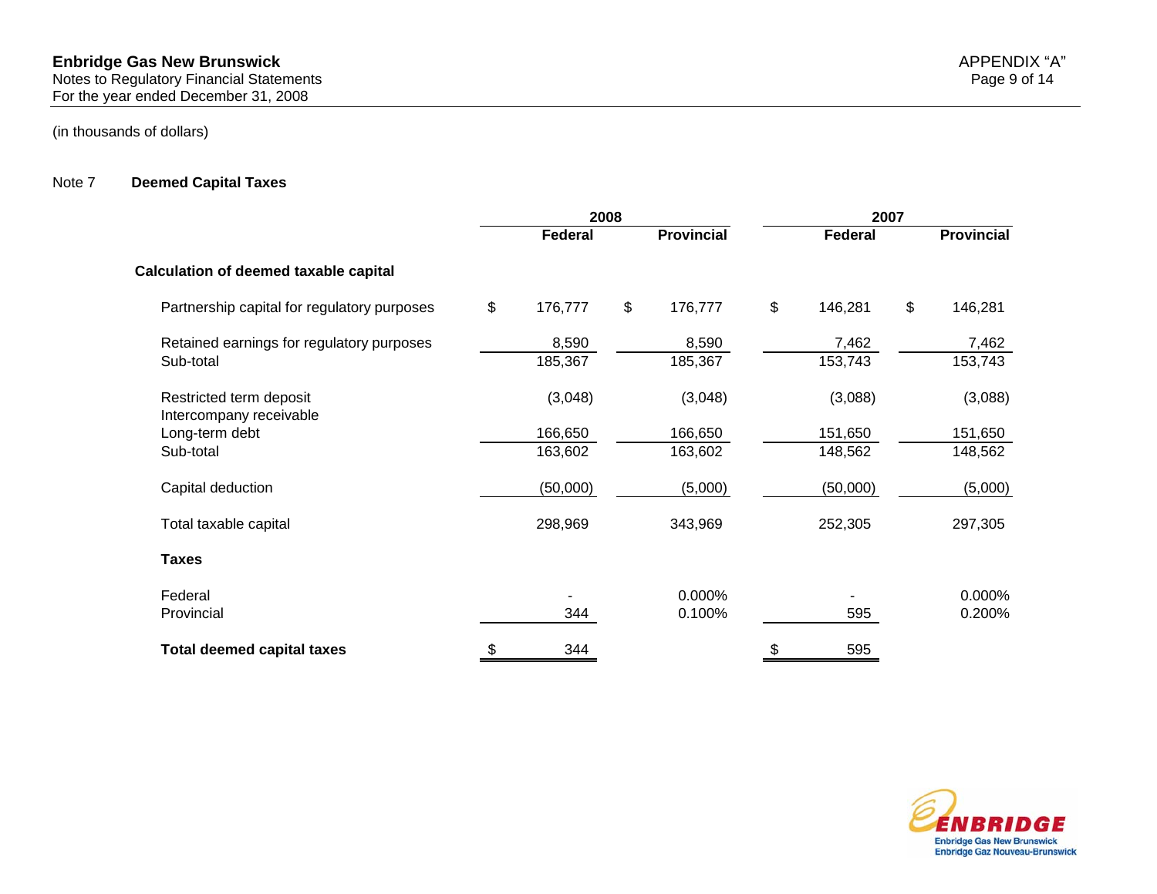#### Note 7 **Deemed Capital Taxes**

|                                                    | 2008          |               |                   |    | 2007     |    |                   |  |  |
|----------------------------------------------------|---------------|---------------|-------------------|----|----------|----|-------------------|--|--|
|                                                    | Federal       |               | <b>Provincial</b> |    | Federal  |    | <b>Provincial</b> |  |  |
| <b>Calculation of deemed taxable capital</b>       |               |               |                   |    |          |    |                   |  |  |
| Partnership capital for regulatory purposes        | \$<br>176,777 | $\frac{2}{3}$ | 176,777           | \$ | 146,281  | \$ | 146,281           |  |  |
| Retained earnings for regulatory purposes          | 8,590         |               | 8,590             |    | 7,462    |    | 7,462             |  |  |
| Sub-total                                          | 185,367       |               | 185,367           |    | 153,743  |    | 153,743           |  |  |
| Restricted term deposit<br>Intercompany receivable | (3,048)       |               | (3,048)           |    | (3,088)  |    | (3,088)           |  |  |
| Long-term debt                                     | 166,650       |               | 166,650           |    | 151,650  |    | 151,650           |  |  |
| Sub-total                                          | 163,602       |               | 163,602           |    | 148,562  |    | 148,562           |  |  |
| Capital deduction                                  | (50,000)      |               | (5,000)           |    | (50,000) |    | (5,000)           |  |  |
| Total taxable capital                              | 298,969       |               | 343,969           |    | 252,305  |    | 297,305           |  |  |
| <b>Taxes</b>                                       |               |               |                   |    |          |    |                   |  |  |
| Federal                                            |               |               | 0.000%            |    |          |    | 0.000%            |  |  |
| Provincial                                         | 344           |               | 0.100%            |    | 595      |    | 0.200%            |  |  |
| <b>Total deemed capital taxes</b>                  | \$<br>344     |               |                   | \$ | 595      |    |                   |  |  |



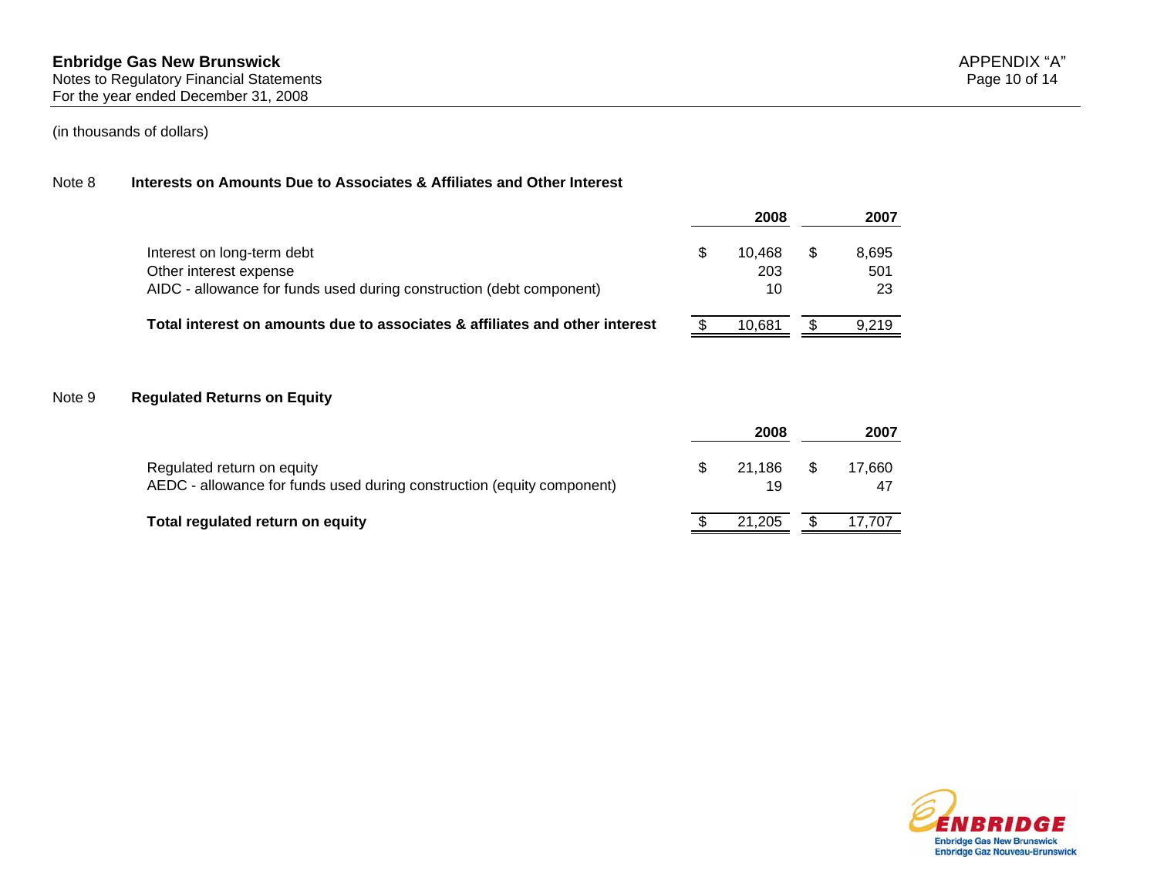## Note 8 **Interests on Amounts Due to Associates & Affiliates and Other Interest**

|                                                                                                                              | 2008                | 2007               |
|------------------------------------------------------------------------------------------------------------------------------|---------------------|--------------------|
| Interest on long-term debt<br>Other interest expense<br>AIDC - allowance for funds used during construction (debt component) | 10.468<br>203<br>10 | 8,695<br>501<br>23 |
| Total interest on amounts due to associates & affiliates and other interest                                                  | 10.681              | 9.219              |

#### Note 9 **Regulated Returns on Equity**

|                                                                                                      | 2008         |   | 2007   |
|------------------------------------------------------------------------------------------------------|--------------|---|--------|
| Regulated return on equity<br>AEDC - allowance for funds used during construction (equity component) | 21.186<br>19 | S | 17.660 |
| Total regulated return on equity                                                                     | 21.205       |   | 17.707 |

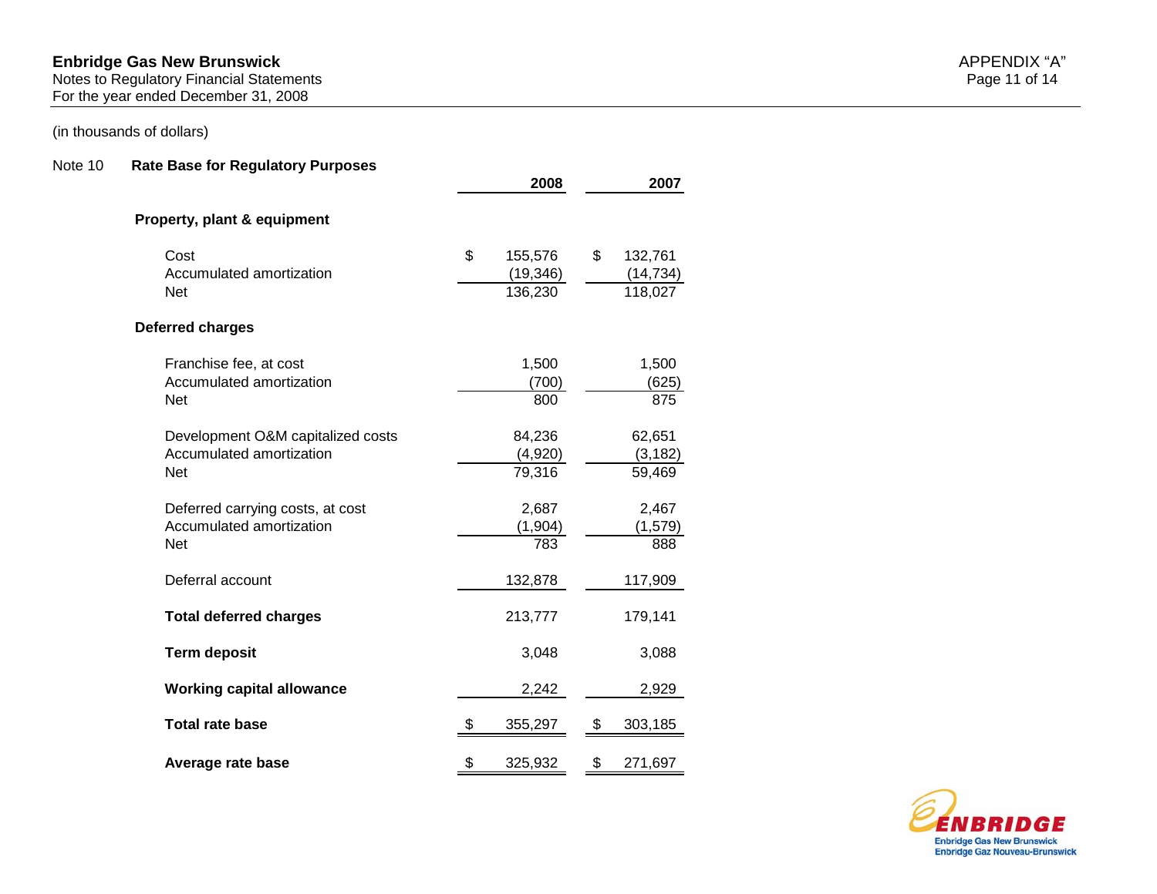#### **Enbridge Gas New Brunswick** APPENDIX "A"

Notes to Regulatory Financial Statements Page 11 of 14

For the year ended December 31, 2008

## (in thousands of dollars)

#### Note 10 **Rate Base for Regulatory Purposes**

|                                        |     | 2008                 | 2007                 |
|----------------------------------------|-----|----------------------|----------------------|
| Property, plant & equipment            |     |                      |                      |
| Cost                                   | \$  | 155,576              | \$<br>132,761        |
| Accumulated amortization<br><b>Net</b> |     | (19, 346)<br>136,230 | (14, 734)<br>118,027 |
| Deferred charges                       |     |                      |                      |
| Franchise fee, at cost                 |     | 1,500                | 1,500                |
| Accumulated amortization<br><b>Net</b> |     | (700)<br>800         | (625)<br>875         |
| Development O&M capitalized costs      |     | 84,236               | 62,651               |
| Accumulated amortization<br><b>Net</b> |     | (4,920)<br>79,316    | (3, 182)<br>59,469   |
| Deferred carrying costs, at cost       |     | 2,687                | 2,467                |
| Accumulated amortization<br><b>Net</b> |     | (1, 904)<br>783      | (1, 579)<br>888      |
| Deferral account                       |     | 132,878              | 117,909              |
| <b>Total deferred charges</b>          |     | 213,777              | 179,141              |
| <b>Term deposit</b>                    |     | 3,048                | 3,088                |
| <b>Working capital allowance</b>       |     | 2,242                | 2,929                |
| <b>Total rate base</b>                 | -\$ | 355,297              | \$<br>303,185        |
| Average rate base                      | \$  | 325,932              | \$<br>271,697        |



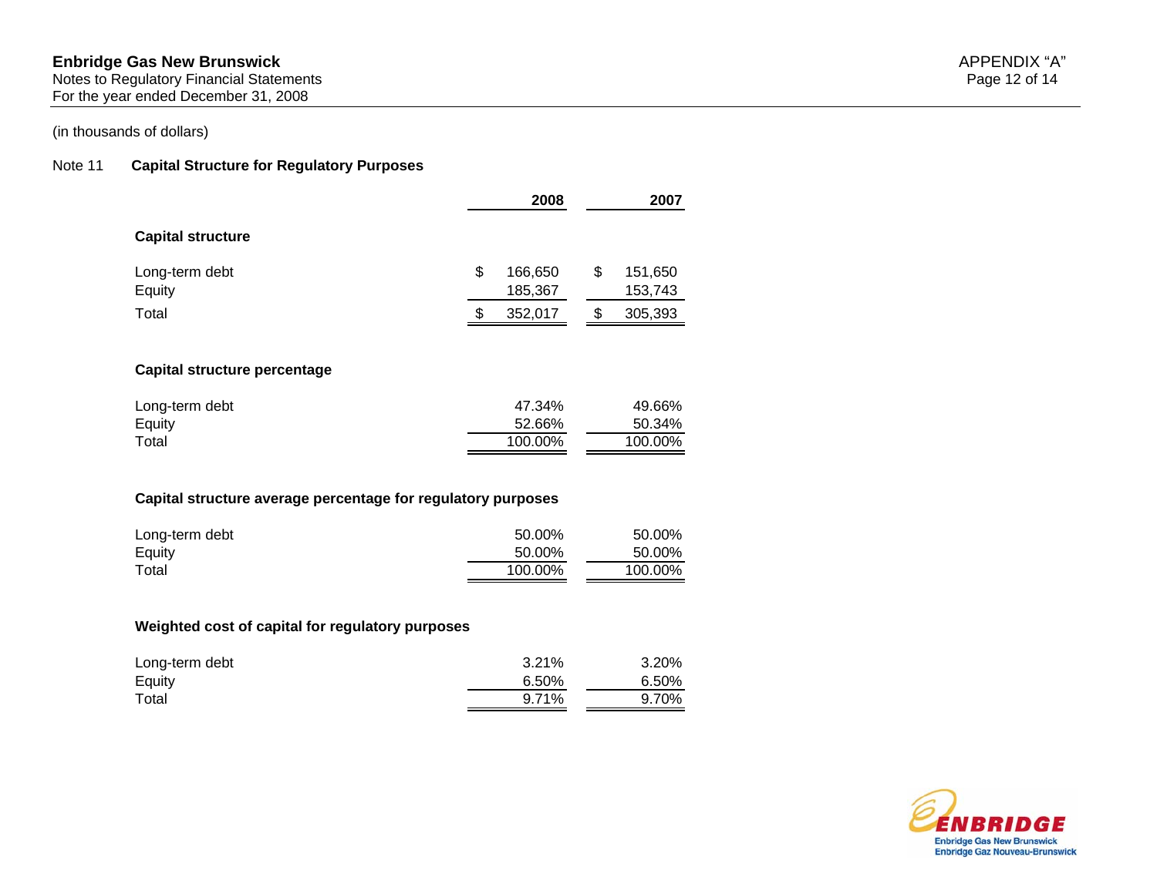#### **Enbridge Gas New Brunswick** APPENDIX "A"

Notes to Regulatory Financial Statements Page 12 of 14 For the year ended December 31, 2008

## (in thousands of dollars)

#### Note 11 **Capital Structure for Regulatory Purposes**

|                                                              | 2008          | 2007          |
|--------------------------------------------------------------|---------------|---------------|
| <b>Capital structure</b>                                     |               |               |
| Long-term debt                                               | \$<br>166,650 | \$<br>151,650 |
| Equity                                                       | 185,367       | 153,743       |
| Total                                                        | \$<br>352,017 | \$<br>305,393 |
| Capital structure percentage                                 |               |               |
| Long-term debt                                               | 47.34%        | 49.66%        |
| Equity                                                       | 52.66%        | 50.34%        |
| Total                                                        | 100.00%       | 100.00%       |
| Capital structure average percentage for regulatory purposes |               |               |
| Long-term debt                                               | 50.00%        | 50.00%        |
|                                                              | 50.00%        | 50.00%        |
| Equity                                                       | 100.00%       | 100.00%       |

# Long-term debt 3.21% 3.20%<br>Equity 3.20% 3.20% 3.20% 3.20% Equity  $6.50\%$  6.50% 6.50% 6.50% 6.50% 6.50% 6.50% 6.50% 6.50% for  $6.50\%$ Total 9.71% 9.70%

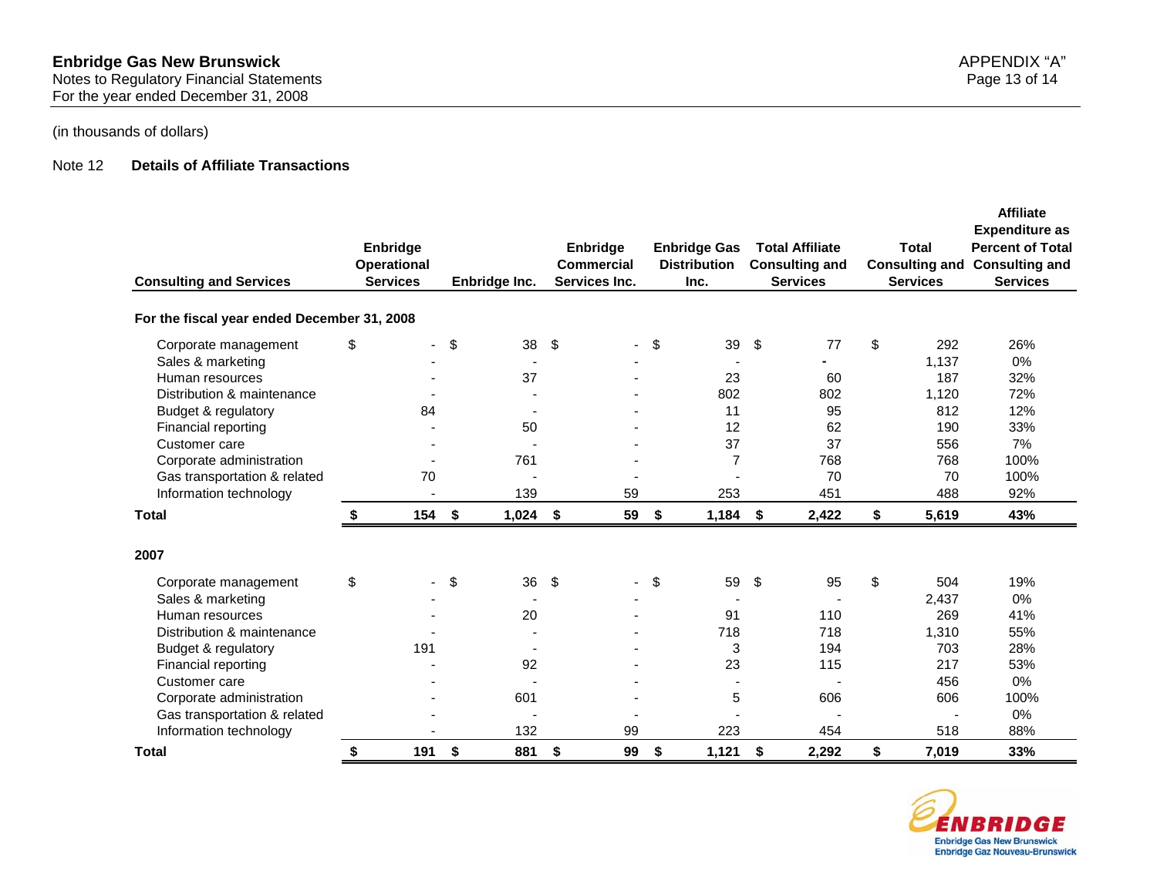## Note 12 **Details of Affiliate Transactions**

| <b>Consulting and Services</b>              | Enbridge<br>Operational<br><b>Services</b> |            | Enbridge Inc. | Enbridge<br>Commercial<br>Services Inc. | <b>Enbridge Gas</b><br><b>Distribution</b><br>Inc. | <b>Total Affiliate</b><br><b>Consulting and</b><br><b>Services</b> | <b>Total</b><br><b>Consulting and</b><br><b>Services</b> | <b>Affiliate</b><br><b>Expenditure as</b><br><b>Percent of Total</b><br><b>Consulting and</b><br><b>Services</b> |
|---------------------------------------------|--------------------------------------------|------------|---------------|-----------------------------------------|----------------------------------------------------|--------------------------------------------------------------------|----------------------------------------------------------|------------------------------------------------------------------------------------------------------------------|
| For the fiscal year ended December 31, 2008 |                                            |            |               |                                         |                                                    |                                                                    |                                                          |                                                                                                                  |
| Corporate management                        | \$                                         | \$         | 38            | \$                                      | \$<br>39                                           | \$<br>77                                                           | \$<br>292                                                | 26%                                                                                                              |
| Sales & marketing                           |                                            |            |               |                                         |                                                    |                                                                    | 1,137                                                    | 0%                                                                                                               |
| Human resources                             |                                            |            | 37            |                                         | 23                                                 | 60                                                                 | 187                                                      | 32%                                                                                                              |
| Distribution & maintenance                  |                                            |            |               |                                         | 802                                                | 802                                                                | 1,120                                                    | 72%                                                                                                              |
| Budget & regulatory                         | 84                                         |            |               |                                         | 11                                                 | 95                                                                 | 812                                                      | 12%                                                                                                              |
| Financial reporting                         |                                            |            | 50            |                                         | 12                                                 | 62                                                                 | 190                                                      | 33%                                                                                                              |
| Customer care                               |                                            |            |               |                                         | 37                                                 | 37                                                                 | 556                                                      | 7%                                                                                                               |
| Corporate administration                    |                                            |            | 761           |                                         | $\overline{7}$                                     | 768                                                                | 768                                                      | 100%                                                                                                             |
| Gas transportation & related                | 70                                         |            |               |                                         |                                                    | 70                                                                 | 70                                                       | 100%                                                                                                             |
| Information technology                      |                                            |            | 139           | 59                                      | 253                                                | 451                                                                | 488                                                      | 92%                                                                                                              |
| <b>Total</b>                                | \$<br>154 \$                               |            | $1,024$ \$    | 59                                      | \$<br>$1,184$ \$                                   | 2,422                                                              | \$<br>5,619                                              | 43%                                                                                                              |
| 2007                                        |                                            |            |               |                                         |                                                    |                                                                    |                                                          |                                                                                                                  |
| Corporate management                        | \$                                         | \$         | 36            | \$                                      | \$<br>59                                           | \$<br>95                                                           | \$<br>504                                                | 19%                                                                                                              |
| Sales & marketing                           |                                            |            |               |                                         |                                                    |                                                                    | 2,437                                                    | 0%                                                                                                               |
| Human resources                             |                                            |            | 20            |                                         | 91                                                 | 110                                                                | 269                                                      | 41%                                                                                                              |
| Distribution & maintenance                  |                                            |            |               |                                         | 718                                                | 718                                                                | 1,310                                                    | 55%                                                                                                              |
| Budget & regulatory                         | 191                                        |            |               |                                         | 3                                                  | 194                                                                | 703                                                      | 28%                                                                                                              |
| Financial reporting                         |                                            |            | 92            |                                         | 23                                                 | 115                                                                | 217                                                      | 53%                                                                                                              |
| Customer care                               |                                            |            |               |                                         |                                                    |                                                                    | 456                                                      | 0%                                                                                                               |
| Corporate administration                    |                                            |            | 601           |                                         | 5                                                  | 606                                                                | 606                                                      | 100%                                                                                                             |
| Gas transportation & related                |                                            |            |               |                                         |                                                    |                                                                    |                                                          | 0%                                                                                                               |
| Information technology                      |                                            |            | 132           | 99                                      | 223                                                | 454                                                                | 518                                                      | 88%                                                                                                              |
| Total                                       | \$<br>191                                  | $\sqrt{5}$ | 881           | \$<br>99                                | \$<br>1,121                                        | \$<br>2,292                                                        | \$<br>7,019                                              | 33%                                                                                                              |